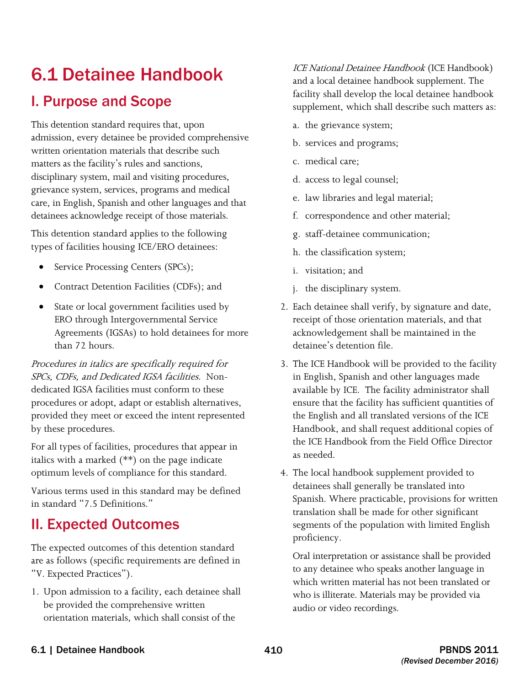# 6.1 Detainee Handbook

## I. Purpose and Scope

 grievance system, services, programs and medical This detention standard requires that, upon admission, every detainee be provided comprehensive written orientation materials that describe such matters as the facility's rules and sanctions, disciplinary system, mail and visiting procedures, care, in English, Spanish and other languages and that detainees acknowledge receipt of those materials.

This detention standard applies to the following types of facilities housing ICE/ERO detainees:

- Service Processing Centers (SPCs);
- Contract Detention Facilities (CDFs); and
- State or local government facilities used by ERO through Intergovernmental Service Agreements (IGSAs) to hold detainees for more than 72 hours.

 SPCs, CDFs, and Dedicated IGSA facilities. Non-Procedures in italics are specifically required for dedicated IGSA facilities must conform to these procedures or adopt, adapt or establish alternatives, provided they meet or exceed the intent represented by these procedures.

For all types of facilities, procedures that appear in italics with a marked (\*\*) on the page indicate optimum levels of compliance for this standard.

Various terms used in this standard may be defined in standard "7.5 Definitions."

## II. Expected Outcomes

The expected outcomes of this detention standard are as follows (specific requirements are defined in "V. Expected Practices").

1. Upon admission to a facility, each detainee shall be provided the comprehensive written orientation materials, which shall consist of the

ICE National Detainee Handbook (ICE Handbook) and a local detainee handbook supplement. The facility shall develop the local detainee handbook supplement, which shall describe such matters as:

- a. the grievance system;
- b. services and programs;
- c. medical care;
- d. access to legal counsel;
- e. law libraries and legal material;
- f. correspondence and other material;
- g. staff-detainee communication;
- h. the classification system;
- i. visitation; and
- j. the disciplinary system.
- 2. Each detainee shall verify, by signature and date, receipt of those orientation materials, and that acknowledgement shall be maintained in the detainee's detention file.
- available by ICE. The facility administrator shall 3. The ICE Handbook will be provided to the facility in English, Spanish and other languages made ensure that the facility has sufficient quantities of the English and all translated versions of the ICE Handbook, and shall request additional copies of the ICE Handbook from the Field Office Director as needed.
- 4. The local handbook supplement provided to detainees shall generally be translated into Spanish. Where practicable, provisions for written translation shall be made for other significant segments of the population with limited English proficiency.

 who is illiterate. Materials may be provided via Oral interpretation or assistance shall be provided to any detainee who speaks another language in which written material has not been translated or audio or video recordings.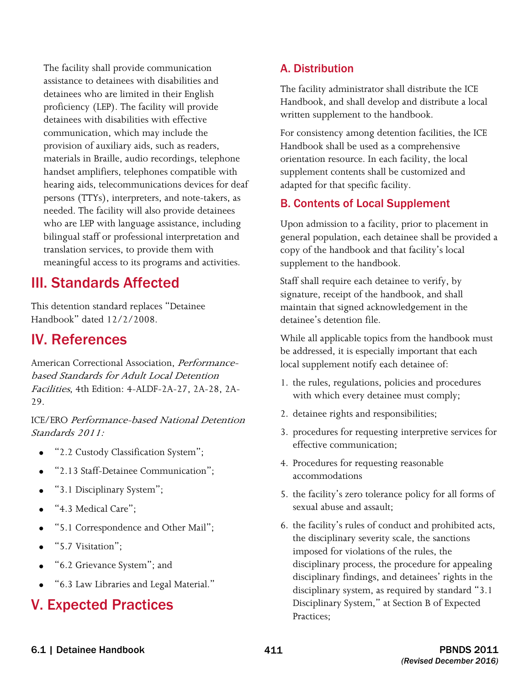The facility shall provide communication assistance to detainees with disabilities and detainees who are limited in their English proficiency (LEP). The facility will provide detainees with disabilities with effective communication, which may include the provision of auxiliary aids, such as readers, materials in Braille, audio recordings, telephone handset amplifiers, telephones compatible with hearing aids, telecommunications devices for deaf persons (TTYs), interpreters, and note-takers, as needed. The facility will also provide detainees who are LEP with language assistance, including bilingual staff or professional interpretation and translation services, to provide them with meaningful access to its programs and activities.

## III. Standards Affected

This detention standard replaces "Detainee Handbook" dated 12/2/2008.

## IV. References

American Correctional Association, Performancebased Standards for Adult Local Detention Facilities, 4th Edition: 4-ALDF-2A-27, 2A-28, 2A-29.

 Standards 2011: ICE/ERO Performance-based National Detention

- "2.2 Custody Classification System";
- "2.13 Staff-Detainee Communication";
- "3.1 Disciplinary System";
- "4.3 Medical Care":
- "5.1 Correspondence and Other Mail";
- "5.7 Visitation";
- "6.2 Grievance System"; and
- "6.3 Law Libraries and Legal Material."

## V. Expected Practices

#### A. Distribution

The facility administrator shall distribute the ICE Handbook, and shall develop and distribute a local written supplement to the handbook.

For consistency among detention facilities, the ICE Handbook shall be used as a comprehensive orientation resource. In each facility, the local supplement contents shall be customized and adapted for that specific facility.

#### B. Contents of Local Supplement

Upon admission to a facility, prior to placement in general population, each detainee shall be provided a copy of the handbook and that facility's local supplement to the handbook.

Staff shall require each detainee to verify, by signature, receipt of the handbook, and shall maintain that signed acknowledgement in the detainee's detention file.

While all applicable topics from the handbook must be addressed, it is especially important that each local supplement notify each detainee of:

- 1. the rules, regulations, policies and procedures with which every detainee must comply;
- 2. detainee rights and responsibilities;
- 3. procedures for requesting interpretive services for effective communication;
- 4. Procedures for requesting reasonable accommodations
- 5. the facility's zero tolerance policy for all forms of sexual abuse and assault;
- 6. the facility's rules of conduct and prohibited acts, the disciplinary severity scale, the sanctions imposed for violations of the rules, the disciplinary process, the procedure for appealing disciplinary findings, and detainees' rights in the disciplinary system, as required by standard "3.1 Disciplinary System," at Section B of Expected Practices;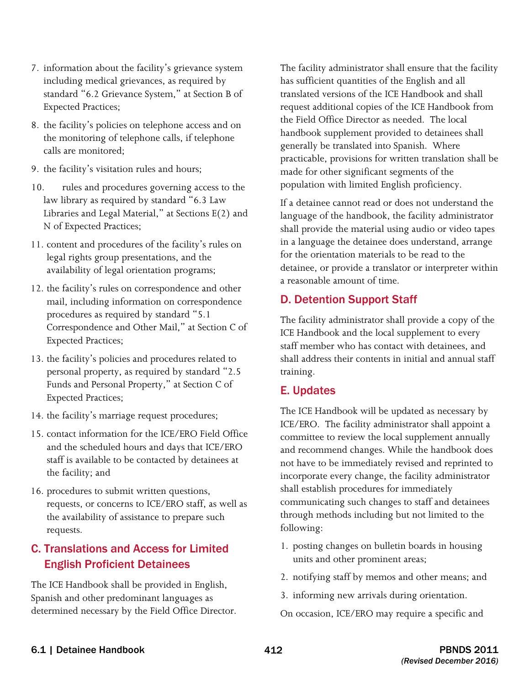- 7. information about the facility's grievance system including medical grievances, as required by standard "6.2 Grievance System," at Section B of Expected Practices;
- 8. the facility's policies on telephone access and on the monitoring of telephone calls, if telephone calls are monitored;
- 9. the facility's visitation rules and hours;
- 10. rules and procedures governing access to the law library as required by standard "6.3 Law Libraries and Legal Material," at Sections E(2) and N of Expected Practices;
- 11. content and procedures of the facility's rules on legal rights group presentations, and the availability of legal orientation programs;
- 12. the facility's rules on correspondence and other mail, including information on correspondence procedures as required by standard "5.1 Correspondence and Other Mail," at Section C of Expected Practices;
- 13. the facility's policies and procedures related to personal property, as required by standard "2.5 Funds and Personal Property," at Section C of Expected Practices;
- 14. the facility's marriage request procedures;
- 15. contact information for the ICE/ERO Field Office and the scheduled hours and days that ICE/ERO staff is available to be contacted by detainees at the facility; and
- 16. procedures to submit written questions, requests, or concerns to ICE/ERO staff, as well as the availability of assistance to prepare such requests.

### C. Translations and Access for Limited English Proficient Detainees

The ICE Handbook shall be provided in English, Spanish and other predominant languages as determined necessary by the Field Office Director. The facility administrator shall ensure that the facility has sufficient quantities of the English and all translated versions of the ICE Handbook and shall request additional copies of the ICE Handbook from the Field Office Director as needed. The local handbook supplement provided to detainees shall generally be translated into Spanish. Where practicable, provisions for written translation shall be made for other significant segments of the population with limited English proficiency.

 If a detainee cannot read or does not understand the language of the handbook, the facility administrator shall provide the material using audio or video tapes in a language the detainee does understand, arrange for the orientation materials to be read to the detainee, or provide a translator or interpreter within a reasonable amount of time.

#### D. Detention Support Staff

The facility administrator shall provide a copy of the ICE Handbook and the local supplement to every staff member who has contact with detainees, and shall address their contents in initial and annual staff training.

#### E. Updates

The ICE Handbook will be updated as necessary by ICE/ERO. The facility administrator shall appoint a committee to review the local supplement annually and recommend changes. While the handbook does not have to be immediately revised and reprinted to incorporate every change, the facility administrator shall establish procedures for immediately communicating such changes to staff and detainees through methods including but not limited to the following:

- 1. posting changes on bulletin boards in housing units and other prominent areas;
- 2. notifying staff by memos and other means; and
- 3. informing new arrivals during orientation.

On occasion, ICE/ERO may require a specific and